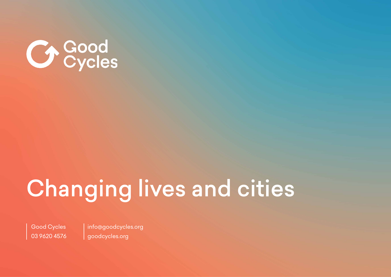

# Changing lives and cities

Good Cycles 03 9620 4576 info@goodcycles.org goodcycles.org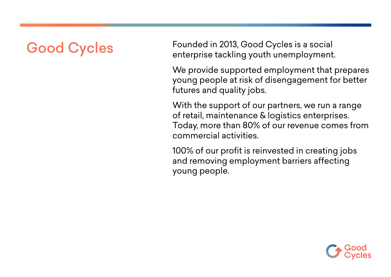## Good Cycles

Founded in 2013, Good Cycles is a social enterprise tackling youth unemployment.

We provide supported employment that prepares young people at risk of disengagement for better futures and quality jobs.

With the support of our partners, we run a range of retail, maintenance & logistics enterprises. Today, more than 80% of our revenue comes from commercial activities.

100% of our profit is reinvested in creating jobs and removing employment barriers affecting young people.

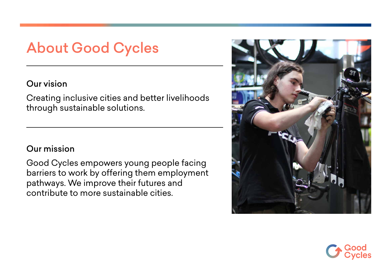#### About Good Cycles

#### Our vision

Creating inclusive cities and better livelihoods through sustainable solutions.

#### Our mission

Good Cycles empowers young people facing barriers to work by offering them employment pathways. We improve their futures and contribute to more sustainable cities.



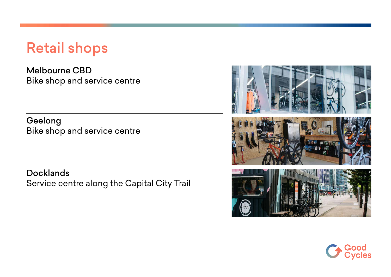#### Retail shops

Melbourne CBD Bike shop and service centre

Geelong Bike shop and service centre

**Docklands** Service centre along the Capital City Trail



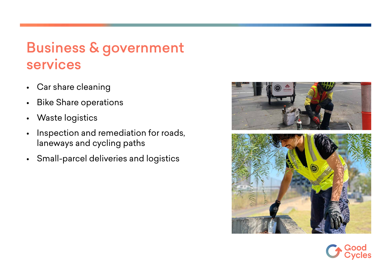### Business & government services

- Car share cleaning
- Bike Share operations
- Waste logistics
- Inspection and remediation for roads, laneways and cycling paths
- Small-parcel deliveries and logistics



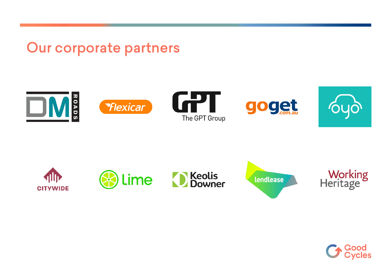Our corporate partners





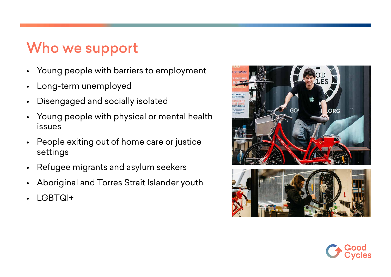### Who we support

- Young people with barriers to employment
- Long-term unemployed
- Disengaged and socially isolated
- Young people with physical or mental health issues
- People exiting out of home care or justice settings
- Refugee migrants and asylum seekers
- Aboriginal and Torres Strait Islander youth
- LGBTQI+



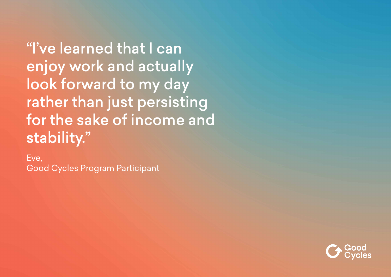"I've learned that I can enjoy work and actually look forward to my day rather than just persisting for the sake of income and stability."

Eve, Good Cycles Program Participant

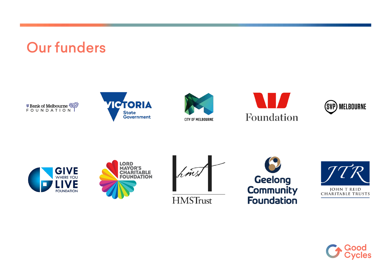### Our funders

**<sup>#</sup>Bank of Melbourne <\*\*** 



















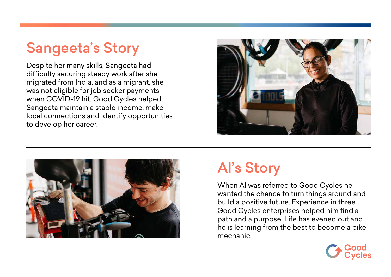### Sangeeta's Story

Despite her many skills, Sangeeta had difficulty securing steady work after she migrated from India, and as a migrant, she was not eligible for job seeker payments when COVID-19 hit. Good Cycles helped Sangeeta maintain a stable income, make local connections and identify opportunities to develop her career.





# Al's Story

When Al was referred to Good Cycles he wanted the chance to turn things around and build a positive future. Experience in three Good Cycles enterprises helped him find a path and a purpose. Life has evened out and he is learning from the best to become a bike mechanic.

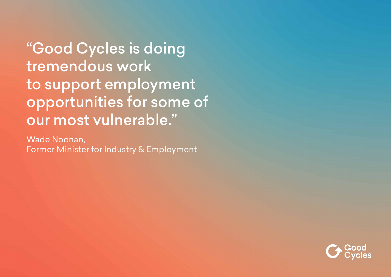"Good Cycles is doing tremendous work to support employment opportunities for some of our most vulnerable."

Wade Noonan, Former Minister for Industry & Employment